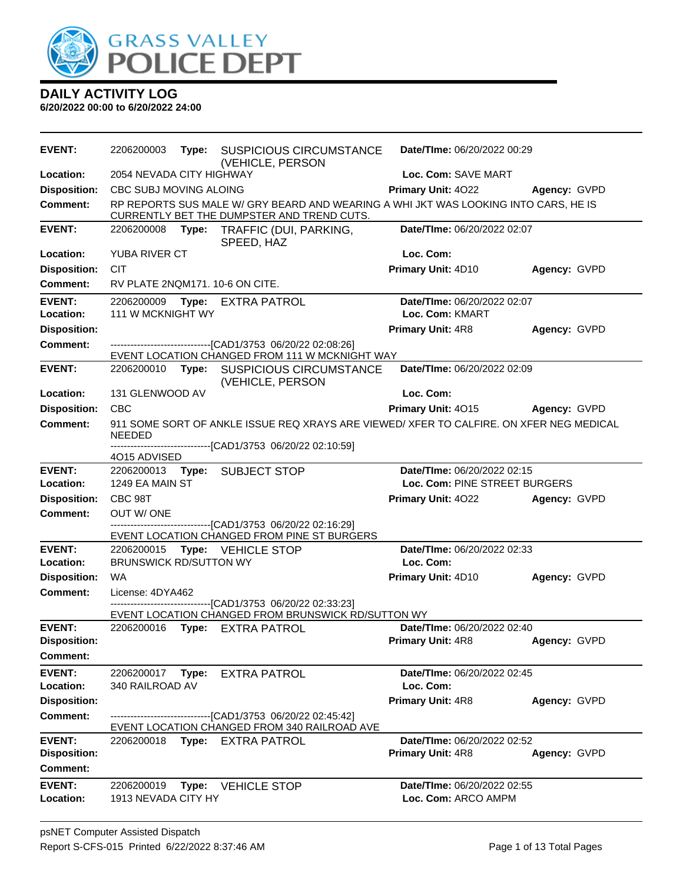

| <b>EVENT:</b>              | 2206200003                      | Type: | <b>SUSPICIOUS CIRCUMSTANCE</b><br>(VEHICLE, PERSON                                                                                                     | Date/TIme: 06/20/2022 00:29              |                     |  |
|----------------------------|---------------------------------|-------|--------------------------------------------------------------------------------------------------------------------------------------------------------|------------------------------------------|---------------------|--|
| Location:                  | 2054 NEVADA CITY HIGHWAY        |       |                                                                                                                                                        | Loc. Com: SAVE MART                      |                     |  |
| <b>Disposition:</b>        | CBC SUBJ MOVING ALOING          |       |                                                                                                                                                        | Primary Unit: 4022                       | <b>Agency: GVPD</b> |  |
| Comment:                   |                                 |       | RP REPORTS SUS MALE W/ GRY BEARD AND WEARING A WHI JKT WAS LOOKING INTO CARS, HE IS<br>CURRENTLY BET THE DUMPSTER AND TREND CUTS.                      |                                          |                     |  |
| <b>EVENT:</b>              |                                 |       | 2206200008 Type: TRAFFIC (DUI, PARKING,<br>SPEED, HAZ                                                                                                  | Date/TIme: 06/20/2022 02:07              |                     |  |
| Location:                  | YUBA RIVER CT                   |       |                                                                                                                                                        | Loc. Com:                                |                     |  |
| <b>Disposition:</b>        | <b>CIT</b>                      |       |                                                                                                                                                        | Primary Unit: 4D10                       | Agency: GVPD        |  |
| <b>Comment:</b>            | RV PLATE 2NQM171. 10-6 ON CITE. |       |                                                                                                                                                        |                                          |                     |  |
| <b>EVENT:</b>              | 2206200009                      |       | Type: EXTRA PATROL                                                                                                                                     | Date/TIme: 06/20/2022 02:07              |                     |  |
| Location:                  | 111 W MCKNIGHT WY               |       |                                                                                                                                                        | Loc. Com: KMART                          |                     |  |
| <b>Disposition:</b>        |                                 |       |                                                                                                                                                        | <b>Primary Unit: 4R8</b>                 | Agency: GVPD        |  |
| <b>Comment:</b>            |                                 |       | -------------------------------[CAD1/3753 06/20/22 02:08:26]<br>EVENT LOCATION CHANGED FROM 111 W MCKNIGHT WAY                                         |                                          |                     |  |
| <b>EVENT:</b>              |                                 |       | 2206200010 Type: SUSPICIOUS CIRCUMSTANCE<br>(VEHICLE, PERSON                                                                                           | Date/TIme: 06/20/2022 02:09              |                     |  |
| Location:                  | 131 GLENWOOD AV                 |       |                                                                                                                                                        | Loc. Com:                                |                     |  |
| <b>Disposition:</b>        | <b>CBC</b>                      |       |                                                                                                                                                        | <b>Primary Unit: 4015</b>                | Agency: GVPD        |  |
| <b>Comment:</b>            | <b>NEEDED</b>                   |       | 911 SOME SORT OF ANKLE ISSUE REQ XRAYS ARE VIEWED/ XFER TO CALFIRE. ON XFER NEG MEDICAL<br>------------------------------[CAD1/3753 06/20/22 02:10:59] |                                          |                     |  |
| <b>EVENT:</b>              | 4015 ADVISED                    |       |                                                                                                                                                        | Date/TIme: 06/20/2022 02:15              |                     |  |
| Location:                  | 1249 EA MAIN ST                 |       | 2206200013 Type: SUBJECT STOP                                                                                                                          | Loc. Com: PINE STREET BURGERS            |                     |  |
| <b>Disposition:</b>        | CBC 98T                         |       |                                                                                                                                                        | <b>Primary Unit: 4022 Agency: GVPD</b>   |                     |  |
| Comment:                   | OUT W/ONE                       |       |                                                                                                                                                        |                                          |                     |  |
|                            |                                 |       | ---------------------------------[CAD1/3753 06/20/22 02:16:29]                                                                                         |                                          |                     |  |
|                            |                                 |       | EVENT LOCATION CHANGED FROM PINE ST BURGERS                                                                                                            |                                          |                     |  |
| <b>EVENT:</b><br>Location: | <b>BRUNSWICK RD/SUTTON WY</b>   |       | 2206200015 Type: VEHICLE STOP                                                                                                                          | Date/TIme: 06/20/2022 02:33<br>Loc. Com: |                     |  |
| <b>Disposition:</b>        | <b>WA</b>                       |       |                                                                                                                                                        | <b>Primary Unit: 4D10</b>                | Agency: GVPD        |  |
| Comment:                   | License: 4DYA462                |       |                                                                                                                                                        |                                          |                     |  |
|                            |                                 |       | ---------------------------------[CAD1/3753 06/20/22 02:33:23]<br>EVENT LOCATION CHANGED FROM BRUNSWICK RD/SUTTON WY                                   |                                          |                     |  |
| <b>EVENT:</b>              |                                 |       | 2206200016 Type: EXTRA PATROL                                                                                                                          | Date/TIme: 06/20/2022 02:40              |                     |  |
| <b>Disposition:</b>        |                                 |       |                                                                                                                                                        | <b>Primary Unit: 4R8</b>                 | Agency: GVPD        |  |
| <b>Comment:</b>            |                                 |       |                                                                                                                                                        |                                          |                     |  |
| <b>EVENT:</b>              | 2206200017                      | Type: | <b>EXTRA PATROL</b>                                                                                                                                    | Date/TIme: 06/20/2022 02:45              |                     |  |
| Location:                  | 340 RAILROAD AV                 |       |                                                                                                                                                        | Loc. Com:                                |                     |  |
| <b>Disposition:</b>        |                                 |       |                                                                                                                                                        | Primary Unit: 4R8                        | Agency: GVPD        |  |
| <b>Comment:</b>            |                                 |       | --------------------------[CAD1/3753_06/20/22_02:45:42]<br>EVENT LOCATION CHANGED FROM 340 RAILROAD AVE                                                |                                          |                     |  |
| <b>EVENT:</b>              |                                 |       | 2206200018 Type: EXTRA PATROL                                                                                                                          | Date/TIme: 06/20/2022 02:52              |                     |  |
| <b>Disposition:</b>        |                                 |       |                                                                                                                                                        | <b>Primary Unit: 4R8</b>                 | Agency: GVPD        |  |
| <b>Comment:</b>            |                                 |       |                                                                                                                                                        |                                          |                     |  |
| <b>EVENT:</b>              | 2206200019                      |       | Type: VEHICLE STOP                                                                                                                                     | Date/TIme: 06/20/2022 02:55              |                     |  |
| Location:                  | 1913 NEVADA CITY HY             |       |                                                                                                                                                        | Loc. Com: ARCO AMPM                      |                     |  |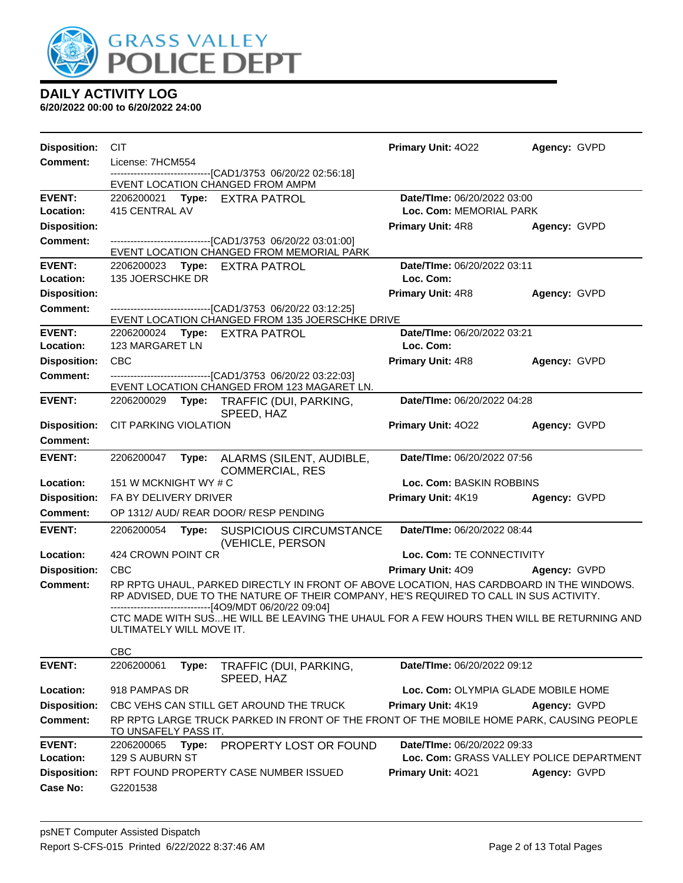

| <b>Disposition:</b>        | <b>CIT</b>                    |       |                                                                                                                                                                                    | <b>Primary Unit: 4022</b>                                               | Agency: GVPD |
|----------------------------|-------------------------------|-------|------------------------------------------------------------------------------------------------------------------------------------------------------------------------------------|-------------------------------------------------------------------------|--------------|
| <b>Comment:</b>            | License: 7HCM554              |       |                                                                                                                                                                                    |                                                                         |              |
|                            |                               |       | --------------------------[CAD1/3753_06/20/22_02:56:18]<br>EVENT LOCATION CHANGED FROM AMPM                                                                                        |                                                                         |              |
| <b>EVENT:</b>              |                               |       | 2206200021 Type: EXTRA PATROL                                                                                                                                                      | Date/TIme: 06/20/2022 03:00                                             |              |
| Location:                  | 415 CENTRAL AV                |       |                                                                                                                                                                                    | Loc. Com: MEMORIAL PARK                                                 |              |
| <b>Disposition:</b>        |                               |       |                                                                                                                                                                                    | <b>Primary Unit: 4R8</b>                                                | Agency: GVPD |
| <b>Comment:</b>            |                               |       | -------------------------------[CAD1/3753 06/20/22 03:01:00]<br>EVENT LOCATION CHANGED FROM MEMORIAL PARK                                                                          |                                                                         |              |
| <b>EVENT:</b>              |                               |       | 2206200023 Type: EXTRA PATROL                                                                                                                                                      | Date/TIme: 06/20/2022 03:11                                             |              |
| Location:                  | 135 JOERSCHKE DR              |       |                                                                                                                                                                                    | Loc. Com:                                                               |              |
| <b>Disposition:</b>        |                               |       |                                                                                                                                                                                    | <b>Primary Unit: 4R8</b>                                                | Agency: GVPD |
| Comment:                   |                               |       | -------------------------------[CAD1/3753 06/20/22 03:12:25]<br>EVENT LOCATION CHANGED FROM 135 JOERSCHKE DRIVE                                                                    |                                                                         |              |
| <b>EVENT:</b>              |                               |       | 2206200024 Type: EXTRA PATROL                                                                                                                                                      | Date/TIme: 06/20/2022 03:21                                             |              |
| Location:                  | 123 MARGARET LN               |       |                                                                                                                                                                                    | Loc. Com:                                                               |              |
| <b>Disposition:</b>        | <b>CBC</b>                    |       |                                                                                                                                                                                    | <b>Primary Unit: 4R8</b>                                                | Agency: GVPD |
| <b>Comment:</b>            |                               |       | --------------------------------[CAD1/3753 06/20/22 03:22:03]<br>EVENT LOCATION CHANGED FROM 123 MAGARET LN.                                                                       |                                                                         |              |
| <b>EVENT:</b>              |                               |       | 2206200029 Type: TRAFFIC (DUI, PARKING,<br>SPEED, HAZ                                                                                                                              | Date/TIme: 06/20/2022 04:28                                             |              |
| <b>Disposition:</b>        | CIT PARKING VIOLATION         |       |                                                                                                                                                                                    | Primary Unit: 4022                                                      | Agency: GVPD |
| <b>Comment:</b>            |                               |       |                                                                                                                                                                                    |                                                                         |              |
| <b>EVENT:</b>              | 2206200047                    | Type: | ALARMS (SILENT, AUDIBLE,<br><b>COMMERCIAL, RES</b>                                                                                                                                 | Date/TIme: 06/20/2022 07:56                                             |              |
| Location:                  | 151 W MCKNIGHT WY # C         |       |                                                                                                                                                                                    | Loc. Com: BASKIN ROBBINS                                                |              |
| <b>Disposition:</b>        | FA BY DELIVERY DRIVER         |       |                                                                                                                                                                                    | Primary Unit: 4K19                                                      | Agency: GVPD |
| <b>Comment:</b>            |                               |       | OP 1312/ AUD/ REAR DOOR/ RESP PENDING                                                                                                                                              |                                                                         |              |
| <b>EVENT:</b>              | 2206200054 Type:              |       | <b>SUSPICIOUS CIRCUMSTANCE</b><br>(VEHICLE, PERSON                                                                                                                                 | Date/TIme: 06/20/2022 08:44                                             |              |
| Location:                  | 424 CROWN POINT CR            |       |                                                                                                                                                                                    | Loc. Com: TE CONNECTIVITY                                               |              |
| <b>Disposition:</b>        | <b>CBC</b>                    |       |                                                                                                                                                                                    | <b>Primary Unit: 409</b>                                                | Agency: GVPD |
| <b>Comment:</b>            |                               |       | RP RPTG UHAUL, PARKED DIRECTLY IN FRONT OF ABOVE LOCATION, HAS CARDBOARD IN THE WINDOWS.<br>RP ADVISED, DUE TO THE NATURE OF THEIR COMPANY, HE'S REQUIRED TO CALL IN SUS ACTIVITY. |                                                                         |              |
|                            | ULTIMATELY WILL MOVE IT.      |       | ------------------------[4O9/MDT 06/20/22 09:04]<br>CTC MADE WITH SUSHE WILL BE LEAVING THE UHAUL FOR A FEW HOURS THEN WILL BE RETURNING AND                                       |                                                                         |              |
|                            | <b>CBC</b>                    |       |                                                                                                                                                                                    |                                                                         |              |
| <b>EVENT:</b>              | 2206200061                    | Type: | TRAFFIC (DUI, PARKING,<br>SPEED, HAZ                                                                                                                                               | Date/TIme: 06/20/2022 09:12                                             |              |
| Location:                  | 918 PAMPAS DR                 |       |                                                                                                                                                                                    | Loc. Com: OLYMPIA GLADE MOBILE HOME                                     |              |
| <b>Disposition:</b>        |                               |       | CBC VEHS CAN STILL GET AROUND THE TRUCK                                                                                                                                            | Primary Unit: 4K19                                                      | Agency: GVPD |
| Comment:                   | TO UNSAFELY PASS IT.          |       | RP RPTG LARGE TRUCK PARKED IN FRONT OF THE FRONT OF THE MOBILE HOME PARK, CAUSING PEOPLE                                                                                           |                                                                         |              |
| <b>EVENT:</b><br>Location: | 2206200065<br>129 S AUBURN ST | Type: | PROPERTY LOST OR FOUND                                                                                                                                                             | Date/TIme: 06/20/2022 09:33<br>Loc. Com: GRASS VALLEY POLICE DEPARTMENT |              |
| <b>Disposition:</b>        |                               |       | RPT FOUND PROPERTY CASE NUMBER ISSUED                                                                                                                                              | Primary Unit: 4021                                                      | Agency: GVPD |
| <b>Case No:</b>            | G2201538                      |       |                                                                                                                                                                                    |                                                                         |              |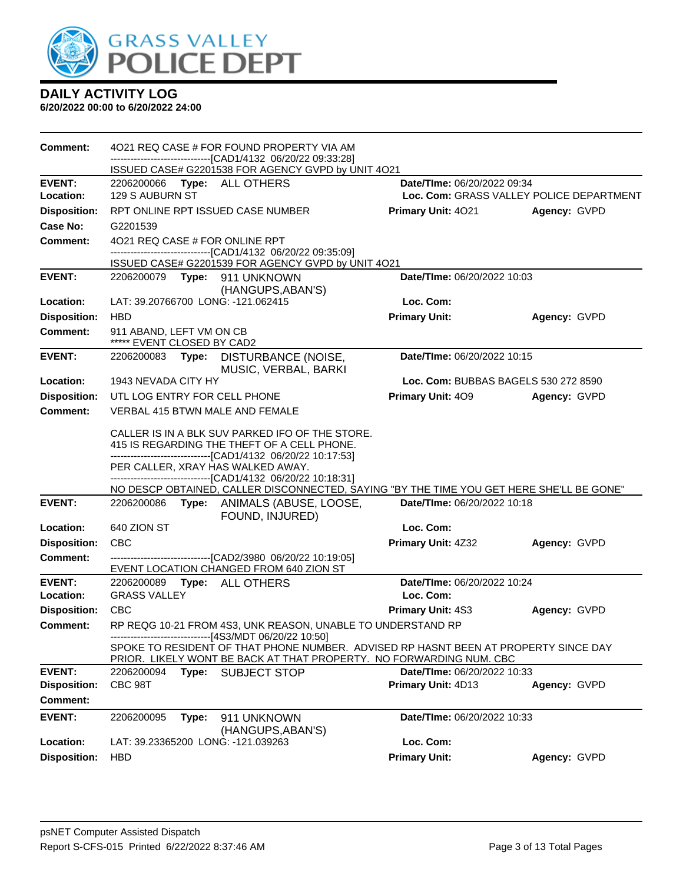

| <b>Comment:</b>     | 4021 REQ CASE # FOR FOUND PROPERTY VIA AM<br>-------------------------------[CAD1/4132 06/20/22 09:33:28]                                                                                                                                                                                                                                                       |                                          |              |  |  |  |
|---------------------|-----------------------------------------------------------------------------------------------------------------------------------------------------------------------------------------------------------------------------------------------------------------------------------------------------------------------------------------------------------------|------------------------------------------|--------------|--|--|--|
|                     | ISSUED CASE# G2201538 FOR AGENCY GVPD by UNIT 4O21                                                                                                                                                                                                                                                                                                              |                                          |              |  |  |  |
| <b>EVENT:</b>       | 2206200066 Type: ALL OTHERS                                                                                                                                                                                                                                                                                                                                     | Date/TIme: 06/20/2022 09:34              |              |  |  |  |
| Location:           | 129 S AUBURN ST                                                                                                                                                                                                                                                                                                                                                 | Loc. Com: GRASS VALLEY POLICE DEPARTMENT |              |  |  |  |
| <b>Disposition:</b> | RPT ONLINE RPT ISSUED CASE NUMBER                                                                                                                                                                                                                                                                                                                               | Primary Unit: 4021                       | Agency: GVPD |  |  |  |
| <b>Case No:</b>     | G2201539                                                                                                                                                                                                                                                                                                                                                        |                                          |              |  |  |  |
| <b>Comment:</b>     | 4021 REQ CASE # FOR ONLINE RPT                                                                                                                                                                                                                                                                                                                                  |                                          |              |  |  |  |
|                     | -------------------------------[CAD1/4132 06/20/22 09:35:09]<br>ISSUED CASE# G2201539 FOR AGENCY GVPD by UNIT 4O21                                                                                                                                                                                                                                              |                                          |              |  |  |  |
| <b>EVENT:</b>       | 2206200079 Type: 911 UNKNOWN                                                                                                                                                                                                                                                                                                                                    | Date/TIme: 06/20/2022 10:03              |              |  |  |  |
|                     | (HANGUPS, ABAN'S)                                                                                                                                                                                                                                                                                                                                               |                                          |              |  |  |  |
| Location:           | LAT: 39.20766700 LONG: -121.062415                                                                                                                                                                                                                                                                                                                              | Loc. Com:                                |              |  |  |  |
| <b>Disposition:</b> | <b>HBD</b>                                                                                                                                                                                                                                                                                                                                                      | <b>Primary Unit:</b>                     | Agency: GVPD |  |  |  |
| <b>Comment:</b>     | 911 ABAND, LEFT VM ON CB<br>***** EVENT CLOSED BY CAD2                                                                                                                                                                                                                                                                                                          |                                          |              |  |  |  |
| <b>EVENT:</b>       | Date/TIme: 06/20/2022 10:15<br>2206200083 Type: DISTURBANCE (NOISE,<br>MUSIC, VERBAL, BARKI                                                                                                                                                                                                                                                                     |                                          |              |  |  |  |
| Location:           | 1943 NEVADA CITY HY                                                                                                                                                                                                                                                                                                                                             | Loc. Com: BUBBAS BAGELS 530 272 8590     |              |  |  |  |
| <b>Disposition:</b> | UTL LOG ENTRY FOR CELL PHONE                                                                                                                                                                                                                                                                                                                                    | Primary Unit: 409                        | Agency: GVPD |  |  |  |
| <b>Comment:</b>     | <b>VERBAL 415 BTWN MALE AND FEMALE</b>                                                                                                                                                                                                                                                                                                                          |                                          |              |  |  |  |
|                     | CALLER IS IN A BLK SUV PARKED IFO OF THE STORE.<br>415 IS REGARDING THE THEFT OF A CELL PHONE.<br>-------------------------------[CAD1/4132 06/20/22 10:17:53]<br>PER CALLER, XRAY HAS WALKED AWAY.<br>-------------------------------[CAD1/4132 06/20/22 10:18:31]<br>NO DESCP OBTAINED, CALLER DISCONNECTED, SAYING "BY THE TIME YOU GET HERE SHE'LL BE GONE" |                                          |              |  |  |  |
| <b>EVENT:</b>       | 2206200086 Type: ANIMALS (ABUSE, LOOSE,                                                                                                                                                                                                                                                                                                                         | Date/TIme: 06/20/2022 10:18              |              |  |  |  |
|                     | FOUND, INJURED)                                                                                                                                                                                                                                                                                                                                                 |                                          |              |  |  |  |
| Location:           | 640 ZION ST                                                                                                                                                                                                                                                                                                                                                     | Loc. Com:                                |              |  |  |  |
| <b>Disposition:</b> | <b>CBC</b>                                                                                                                                                                                                                                                                                                                                                      | Primary Unit: 4Z32                       | Agency: GVPD |  |  |  |
| <b>Comment:</b>     | -------------------------------[CAD2/3980 06/20/22 10:19:05]<br>EVENT LOCATION CHANGED FROM 640 ZION ST                                                                                                                                                                                                                                                         |                                          |              |  |  |  |
| <b>EVENT:</b>       | 2206200089    Type: ALL OTHERS                                                                                                                                                                                                                                                                                                                                  | Date/TIme: 06/20/2022 10:24              |              |  |  |  |
| Location:           | <b>GRASS VALLEY</b>                                                                                                                                                                                                                                                                                                                                             | Loc. Com:                                |              |  |  |  |
| <b>Disposition:</b> | <b>CBC</b>                                                                                                                                                                                                                                                                                                                                                      | <b>Primary Unit: 4S3</b>                 | Agency: GVPD |  |  |  |
| Comment:            | RP REQG 10-21 FROM 4S3, UNK REASON, UNABLE TO UNDERSTAND RP<br>------------------------[4S3/MDT 06/20/22 10:50]                                                                                                                                                                                                                                                 |                                          |              |  |  |  |
|                     | SPOKE TO RESIDENT OF THAT PHONE NUMBER. ADVISED RP HASNT BEEN AT PROPERTY SINCE DAY<br>PRIOR. LIKELY WONT BE BACK AT THAT PROPERTY. NO FORWARDING NUM. CBC                                                                                                                                                                                                      |                                          |              |  |  |  |
| <b>EVENT:</b>       | 2206200094<br>Type:<br><b>SUBJECT STOP</b>                                                                                                                                                                                                                                                                                                                      | Date/TIme: 06/20/2022 10:33              |              |  |  |  |
| <b>Disposition:</b> | CBC 98T                                                                                                                                                                                                                                                                                                                                                         | Primary Unit: 4D13                       | Agency: GVPD |  |  |  |
| <b>Comment:</b>     |                                                                                                                                                                                                                                                                                                                                                                 |                                          |              |  |  |  |
| <b>EVENT:</b>       | 2206200095<br>Type:<br>911 UNKNOWN<br>(HANGUPS, ABAN'S)                                                                                                                                                                                                                                                                                                         | Date/TIme: 06/20/2022 10:33              |              |  |  |  |
| Location:           | LAT: 39.23365200 LONG: -121.039263                                                                                                                                                                                                                                                                                                                              | Loc. Com:                                |              |  |  |  |
| <b>Disposition:</b> | <b>HBD</b>                                                                                                                                                                                                                                                                                                                                                      | <b>Primary Unit:</b>                     | Agency: GVPD |  |  |  |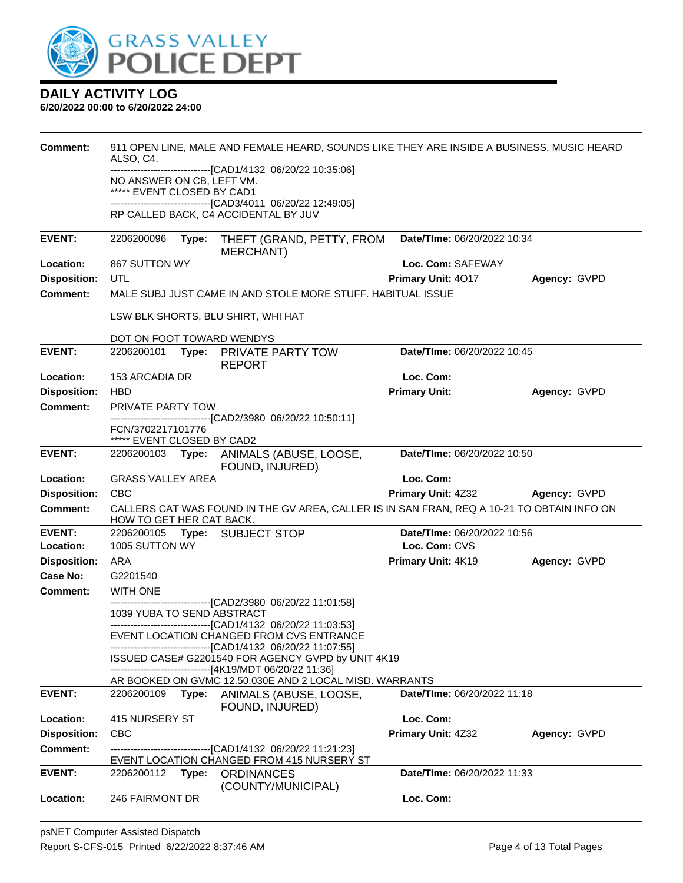

| Comment:            | ALSO, C4.                                               |       | 911 OPEN LINE, MALE AND FEMALE HEARD, SOUNDS LIKE THEY ARE INSIDE A BUSINESS, MUSIC HEARD                     |                                    |              |
|---------------------|---------------------------------------------------------|-------|---------------------------------------------------------------------------------------------------------------|------------------------------------|--------------|
|                     |                                                         |       | -------------------------------[CAD1/4132 06/20/22 10:35:06]                                                  |                                    |              |
|                     | NO ANSWER ON CB, LEFT VM.<br>***** EVENT CLOSED BY CAD1 |       |                                                                                                               |                                    |              |
|                     |                                                         |       | -------------------------------[CAD3/4011 06/20/22 12:49:05]                                                  |                                    |              |
|                     |                                                         |       | RP CALLED BACK, C4 ACCIDENTAL BY JUV                                                                          |                                    |              |
| <b>EVENT:</b>       | 2206200096                                              | Type: | THEFT (GRAND, PETTY, FROM<br><b>MERCHANT)</b>                                                                 | Date/TIme: 06/20/2022 10:34        |              |
| Location:           | 867 SUTTON WY                                           |       |                                                                                                               | Loc. Com: SAFEWAY                  |              |
| <b>Disposition:</b> | UTL                                                     |       |                                                                                                               | Primary Unit: 4017                 | Agency: GVPD |
| <b>Comment:</b>     |                                                         |       | MALE SUBJ JUST CAME IN AND STOLE MORE STUFF. HABITUAL ISSUE                                                   |                                    |              |
|                     |                                                         |       | LSW BLK SHORTS, BLU SHIRT, WHI HAT                                                                            |                                    |              |
|                     | DOT ON FOOT TOWARD WENDYS                               |       |                                                                                                               |                                    |              |
| <b>EVENT:</b>       | 2206200101                                              |       | Type: PRIVATE PARTY TOW<br><b>REPORT</b>                                                                      | Date/TIme: 06/20/2022 10:45        |              |
| Location:           | 153 ARCADIA DR                                          |       |                                                                                                               | Loc. Com:                          |              |
| <b>Disposition:</b> | <b>HBD</b>                                              |       |                                                                                                               | <b>Primary Unit:</b>               | Agency: GVPD |
| <b>Comment:</b>     | PRIVATE PARTY TOW                                       |       |                                                                                                               |                                    |              |
|                     | FCN/3702217101776<br>***** EVENT CLOSED BY CAD2         |       | -------------------------------[CAD2/3980 06/20/22 10:50:11]                                                  |                                    |              |
| <b>EVENT:</b>       |                                                         |       | 2206200103 Type: ANIMALS (ABUSE, LOOSE,<br>FOUND, INJURED)                                                    | Date/TIme: 06/20/2022 10:50        |              |
| Location:           | <b>GRASS VALLEY AREA</b>                                |       |                                                                                                               | Loc. Com:                          |              |
| <b>Disposition:</b> | <b>CBC</b>                                              |       |                                                                                                               | Primary Unit: 4Z32                 | Agency: GVPD |
| <b>Comment:</b>     | HOW TO GET HER CAT BACK.                                |       | CALLERS CAT WAS FOUND IN THE GV AREA, CALLER IS IN SAN FRAN, REQ A 10-21 TO OBTAIN INFO ON                    |                                    |              |
| <b>EVENT:</b>       | 2206200105                                              |       | <b>Type: SUBJECT STOP</b>                                                                                     | Date/TIme: 06/20/2022 10:56        |              |
| Location:           | 1005 SUTTON WY                                          |       |                                                                                                               | Loc. Com: CVS                      |              |
| <b>Disposition:</b> | ARA                                                     |       |                                                                                                               | Primary Unit: 4K19                 | Agency: GVPD |
| Case No:            | G2201540                                                |       |                                                                                                               |                                    |              |
| <b>Comment:</b>     | <b>WITH ONE</b>                                         |       | --------------------------------[CAD2/3980 06/20/22 11:01:58]                                                 |                                    |              |
|                     | 1039 YUBA TO SEND ABSTRACT                              |       |                                                                                                               |                                    |              |
|                     |                                                         |       | -------------------------------[CAD1/4132 06/20/22 11:03:53]<br>EVENT LOCATION CHANGED FROM CVS ENTRANCE      |                                    |              |
|                     |                                                         |       | --------------------------------[CAD1/4132 06/20/22 11:07:55]                                                 |                                    |              |
|                     |                                                         |       | ISSUED CASE# G2201540 FOR AGENCY GVPD by UNIT 4K19<br>------------------------------[4K19/MDT 06/20/22 11:36] |                                    |              |
|                     |                                                         |       | AR BOOKED ON GVMC 12.50.030E AND 2 LOCAL MISD. WARRANTS                                                       |                                    |              |
| <b>EVENT:</b>       | 2206200109                                              | Type: | ANIMALS (ABUSE, LOOSE,<br>FOUND, INJURED)                                                                     | <b>Date/Time: 06/20/2022 11:18</b> |              |
| Location:           | 415 NURSERY ST                                          |       |                                                                                                               | Loc. Com:                          |              |
| <b>Disposition:</b> | <b>CBC</b>                                              |       |                                                                                                               | Primary Unit: 4Z32                 | Agency: GVPD |
| <b>Comment:</b>     |                                                         |       | -------------------------------[CAD1/4132 06/20/22 11:21:23]<br>EVENT LOCATION CHANGED FROM 415 NURSERY ST    |                                    |              |
| <b>EVENT:</b>       | 2206200112                                              | Type: | <b>ORDINANCES</b>                                                                                             | Date/TIme: 06/20/2022 11:33        |              |
|                     |                                                         |       | (COUNTY/MUNICIPAL)                                                                                            |                                    |              |
| Location:           | 246 FAIRMONT DR                                         |       |                                                                                                               | Loc. Com:                          |              |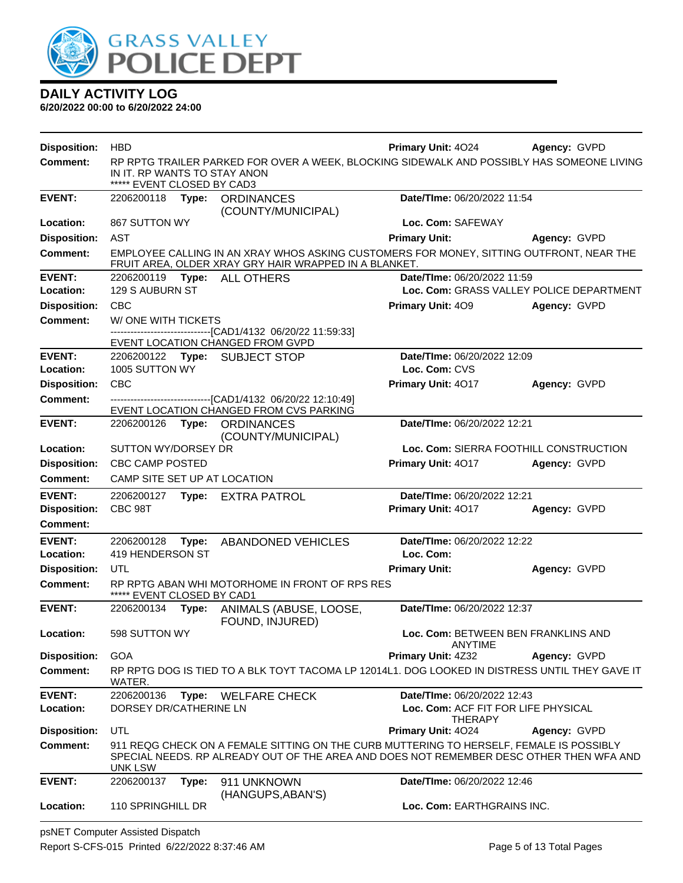

| <b>Disposition:</b> | <b>HBD</b>                                                 |       |                                                                                                         | <b>Primary Unit: 4024</b>                                                                                                                                                          | Agency: GVPD                             |
|---------------------|------------------------------------------------------------|-------|---------------------------------------------------------------------------------------------------------|------------------------------------------------------------------------------------------------------------------------------------------------------------------------------------|------------------------------------------|
| <b>Comment:</b>     | IN IT. RP WANTS TO STAY ANON<br>***** EVENT CLOSED BY CAD3 |       |                                                                                                         | RP RPTG TRAILER PARKED FOR OVER A WEEK, BLOCKING SIDEWALK AND POSSIBLY HAS SOMEONE LIVING                                                                                          |                                          |
| <b>EVENT:</b>       | 2206200118                                                 | Type: | <b>ORDINANCES</b><br>(COUNTY/MUNICIPAL)                                                                 | Date/TIme: 06/20/2022 11:54                                                                                                                                                        |                                          |
| Location:           | 867 SUTTON WY                                              |       |                                                                                                         | Loc. Com: SAFEWAY                                                                                                                                                                  |                                          |
| <b>Disposition:</b> | AST                                                        |       |                                                                                                         | <b>Primary Unit:</b>                                                                                                                                                               | Agency: GVPD                             |
| <b>Comment:</b>     |                                                            |       | FRUIT AREA, OLDER XRAY GRY HAIR WRAPPED IN A BLANKET.                                                   | EMPLOYEE CALLING IN AN XRAY WHOS ASKING CUSTOMERS FOR MONEY, SITTING OUTFRONT, NEAR THE                                                                                            |                                          |
| <b>EVENT:</b>       |                                                            |       | 2206200119    Type: ALL OTHERS                                                                          | Date/TIme: 06/20/2022 11:59                                                                                                                                                        |                                          |
| Location:           | 129 S AUBURN ST                                            |       |                                                                                                         |                                                                                                                                                                                    | Loc. Com: GRASS VALLEY POLICE DEPARTMENT |
| <b>Disposition:</b> | <b>CBC</b>                                                 |       |                                                                                                         | <b>Primary Unit: 409</b>                                                                                                                                                           | Agency: GVPD                             |
| <b>Comment:</b>     | W/ONE WITH TICKETS                                         |       |                                                                                                         |                                                                                                                                                                                    |                                          |
|                     |                                                            |       | -------------------------------[CAD1/4132 06/20/22 11:59:33]<br>EVENT LOCATION CHANGED FROM GVPD        |                                                                                                                                                                                    |                                          |
| <b>EVENT:</b>       |                                                            |       | 2206200122 Type: SUBJECT STOP                                                                           | Date/TIme: 06/20/2022 12:09                                                                                                                                                        |                                          |
| Location:           | 1005 SUTTON WY                                             |       |                                                                                                         | Loc. Com: CVS                                                                                                                                                                      |                                          |
| <b>Disposition:</b> | <b>CBC</b>                                                 |       |                                                                                                         | Primary Unit: 4017                                                                                                                                                                 | Agency: GVPD                             |
| <b>Comment:</b>     |                                                            |       | -------------------------------[CAD1/4132 06/20/22 12:10:49]<br>EVENT LOCATION CHANGED FROM CVS PARKING |                                                                                                                                                                                    |                                          |
| <b>EVENT:</b>       | 2206200126 Type:                                           |       | <b>ORDINANCES</b><br>(COUNTY/MUNICIPAL)                                                                 | Date/TIme: 06/20/2022 12:21                                                                                                                                                        |                                          |
| Location:           | SUTTON WY/DORSEY DR                                        |       |                                                                                                         |                                                                                                                                                                                    | Loc. Com: SIERRA FOOTHILL CONSTRUCTION   |
| <b>Disposition:</b> | <b>CBC CAMP POSTED</b>                                     |       |                                                                                                         | Primary Unit: 4017                                                                                                                                                                 | Agency: GVPD                             |
| Comment:            | CAMP SITE SET UP AT LOCATION                               |       |                                                                                                         |                                                                                                                                                                                    |                                          |
| <b>EVENT:</b>       | 2206200127                                                 |       | Type: EXTRA PATROL                                                                                      | Date/TIme: 06/20/2022 12:21                                                                                                                                                        |                                          |
| <b>Disposition:</b> | CBC 98T                                                    |       |                                                                                                         | Primary Unit: 4017                                                                                                                                                                 | Agency: GVPD                             |
| <b>Comment:</b>     |                                                            |       |                                                                                                         |                                                                                                                                                                                    |                                          |
| <b>EVENT:</b>       | 2206200128                                                 | Type: | <b>ABANDONED VEHICLES</b>                                                                               | Date/TIme: 06/20/2022 12:22                                                                                                                                                        |                                          |
| Location:           | 419 HENDERSON ST                                           |       |                                                                                                         | Loc. Com:                                                                                                                                                                          |                                          |
| <b>Disposition:</b> | UTL                                                        |       |                                                                                                         | <b>Primary Unit:</b>                                                                                                                                                               | Agency: GVPD                             |
| <b>Comment:</b>     | ***** EVENT CLOSED BY CAD1                                 |       | RP RPTG ABAN WHI MOTORHOME IN FRONT OF RPS RES                                                          |                                                                                                                                                                                    |                                          |
| <b>EVENT:</b>       | 2206200134                                                 | Type: | ANIMALS (ABUSE, LOOSE,<br>FOUND, INJURED)                                                               | Date/TIme: 06/20/2022 12:37                                                                                                                                                        |                                          |
| Location:           | 598 SUTTON WY                                              |       |                                                                                                         | <b>ANYTIME</b>                                                                                                                                                                     | Loc. Com: BETWEEN BEN FRANKLINS AND      |
| <b>Disposition:</b> | <b>GOA</b>                                                 |       |                                                                                                         | Primary Unit: 4Z32                                                                                                                                                                 | Agency: GVPD                             |
| <b>Comment:</b>     | WATER.                                                     |       |                                                                                                         | RP RPTG DOG IS TIED TO A BLK TOYT TACOMA LP 12014L1. DOG LOOKED IN DISTRESS UNTIL THEY GAVE IT                                                                                     |                                          |
| <b>EVENT:</b>       | 2206200136                                                 | Type: | <b>WELFARE CHECK</b>                                                                                    | Date/TIme: 06/20/2022 12:43                                                                                                                                                        |                                          |
| Location:           | DORSEY DR/CATHERINE LN                                     |       |                                                                                                         | Loc. Com: ACF FIT FOR LIFE PHYSICAL                                                                                                                                                |                                          |
| <b>Disposition:</b> | UTL                                                        |       |                                                                                                         | <b>THERAPY</b><br>Primary Unit: 4024                                                                                                                                               | Agency: GVPD                             |
| <b>Comment:</b>     | UNK LSW                                                    |       |                                                                                                         | 911 REQG CHECK ON A FEMALE SITTING ON THE CURB MUTTERING TO HERSELF, FEMALE IS POSSIBLY<br>SPECIAL NEEDS. RP ALREADY OUT OF THE AREA AND DOES NOT REMEMBER DESC OTHER THEN WFA AND |                                          |
| <b>EVENT:</b>       | 2206200137                                                 | Type: | 911 UNKNOWN<br>(HANGUPS, ABAN'S)                                                                        | Date/TIme: 06/20/2022 12:46                                                                                                                                                        |                                          |
| Location:           | 110 SPRINGHILL DR                                          |       |                                                                                                         | Loc. Com: EARTHGRAINS INC.                                                                                                                                                         |                                          |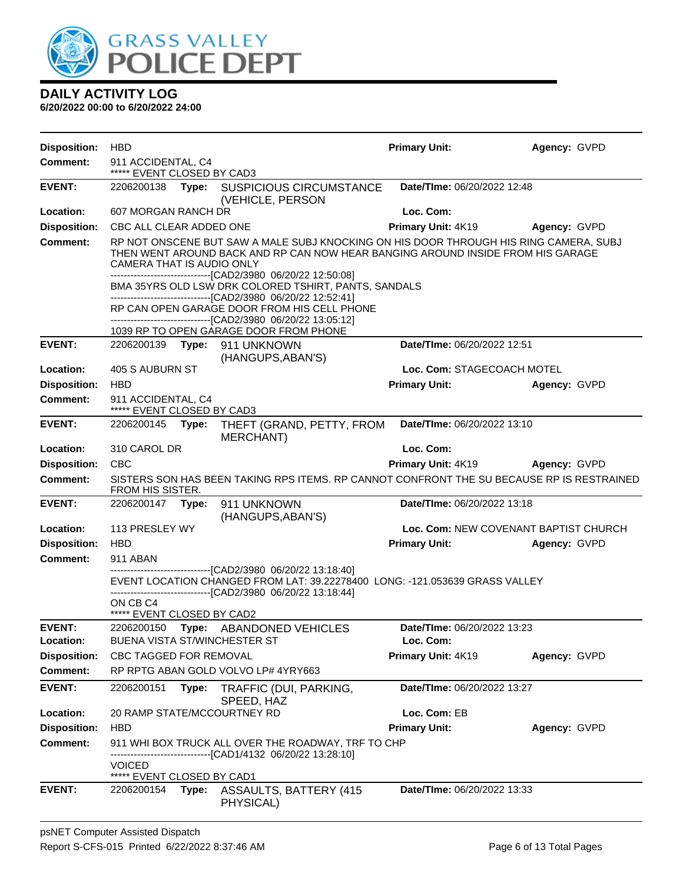

| <b>Disposition:</b>        | <b>HBD</b>                                        |       |                                                                                                                                                                                                                                                                                                                                                                                                                                                                                                                            | <b>Primary Unit:</b>        | Agency: GVPD                          |
|----------------------------|---------------------------------------------------|-------|----------------------------------------------------------------------------------------------------------------------------------------------------------------------------------------------------------------------------------------------------------------------------------------------------------------------------------------------------------------------------------------------------------------------------------------------------------------------------------------------------------------------------|-----------------------------|---------------------------------------|
| <b>Comment:</b>            | 911 ACCIDENTAL, C4<br>***** EVENT CLOSED BY CAD3  |       |                                                                                                                                                                                                                                                                                                                                                                                                                                                                                                                            |                             |                                       |
| <b>EVENT:</b>              |                                                   |       | 2206200138 Type: SUSPICIOUS CIRCUMSTANCE<br>(VEHICLE, PERSON                                                                                                                                                                                                                                                                                                                                                                                                                                                               | Date/TIme: 06/20/2022 12:48 |                                       |
| Location:                  | 607 MORGAN RANCH DR                               |       |                                                                                                                                                                                                                                                                                                                                                                                                                                                                                                                            | Loc. Com:                   |                                       |
| <b>Disposition:</b>        | CBC ALL CLEAR ADDED ONE                           |       |                                                                                                                                                                                                                                                                                                                                                                                                                                                                                                                            | Primary Unit: 4K19          | Agency: GVPD                          |
| <b>Comment:</b>            | CAMERA THAT IS AUDIO ONLY                         |       | RP NOT ONSCENE BUT SAW A MALE SUBJ KNOCKING ON HIS DOOR THROUGH HIS RING CAMERA, SUBJ<br>THEN WENT AROUND BACK AND RP CAN NOW HEAR BANGING AROUND INSIDE FROM HIS GARAGE<br>-------------------------------[CAD2/3980_06/20/22 12:50:08]<br>BMA 35YRS OLD LSW DRK COLORED TSHIRT, PANTS, SANDALS<br>--------------------------------[CAD2/3980_06/20/22 12:52:41]<br>RP CAN OPEN GARAGE DOOR FROM HIS CELL PHONE<br>-------------------------------[CAD2/3980 06/20/22 13:05:12]<br>1039 RP TO OPEN GARAGE DOOR FROM PHONE |                             |                                       |
| <b>EVENT:</b>              |                                                   |       | 2206200139 Type: 911 UNKNOWN                                                                                                                                                                                                                                                                                                                                                                                                                                                                                               | Date/TIme: 06/20/2022 12:51 |                                       |
| Location:                  | 405 S AUBURN ST                                   |       | (HANGUPS, ABAN'S)                                                                                                                                                                                                                                                                                                                                                                                                                                                                                                          | Loc. Com: STAGECOACH MOTEL  |                                       |
| <b>Disposition:</b>        | <b>HBD</b>                                        |       |                                                                                                                                                                                                                                                                                                                                                                                                                                                                                                                            | <b>Primary Unit:</b>        | Agency: GVPD                          |
| Comment:                   | 911 ACCIDENTAL, C4<br>***** EVENT CLOSED BY CAD3  |       |                                                                                                                                                                                                                                                                                                                                                                                                                                                                                                                            |                             |                                       |
| <b>EVENT:</b>              | 2206200145                                        | Type: | THEFT (GRAND, PETTY, FROM<br><b>MERCHANT)</b>                                                                                                                                                                                                                                                                                                                                                                                                                                                                              | Date/TIme: 06/20/2022 13:10 |                                       |
| Location:                  | 310 CAROL DR                                      |       |                                                                                                                                                                                                                                                                                                                                                                                                                                                                                                                            | Loc. Com:                   |                                       |
| <b>Disposition:</b>        | <b>CBC</b>                                        |       |                                                                                                                                                                                                                                                                                                                                                                                                                                                                                                                            | Primary Unit: 4K19          | Agency: GVPD                          |
| <b>Comment:</b>            | FROM HIS SISTER.                                  |       | SISTERS SON HAS BEEN TAKING RPS ITEMS. RP CANNOT CONFRONT THE SU BECAUSE RP IS RESTRAINED                                                                                                                                                                                                                                                                                                                                                                                                                                  |                             |                                       |
| <b>EVENT:</b>              | 2206200147 Type:                                  |       | 911 UNKNOWN<br>(HANGUPS, ABAN'S)                                                                                                                                                                                                                                                                                                                                                                                                                                                                                           | Date/TIme: 06/20/2022 13:18 |                                       |
| Location:                  | 113 PRESLEY WY                                    |       |                                                                                                                                                                                                                                                                                                                                                                                                                                                                                                                            |                             | Loc. Com: NEW COVENANT BAPTIST CHURCH |
| <b>Disposition:</b>        | <b>HBD</b>                                        |       |                                                                                                                                                                                                                                                                                                                                                                                                                                                                                                                            | <b>Primary Unit:</b>        | Agency: GVPD                          |
| <b>Comment:</b>            | 911 ABAN                                          |       |                                                                                                                                                                                                                                                                                                                                                                                                                                                                                                                            |                             |                                       |
|                            | ON CB C4                                          |       | -------------------------------[CAD2/3980_06/20/22 13:18:40]<br>EVENT LOCATION CHANGED FROM LAT: 39.22278400 LONG: -121.053639 GRASS VALLEY<br>-------------------------------[CAD2/3980_06/20/22 13:18:44]                                                                                                                                                                                                                                                                                                                |                             |                                       |
|                            | ***** EVENT CLOSED BY CAD2                        |       |                                                                                                                                                                                                                                                                                                                                                                                                                                                                                                                            | Date/TIme: 06/20/2022 13:23 |                                       |
| <b>EVENT:</b><br>Location: | 2206200150<br><b>BUENA VISTA ST/WINCHESTER ST</b> |       | Type: ABANDONED VEHICLES                                                                                                                                                                                                                                                                                                                                                                                                                                                                                                   | Loc. Com:                   |                                       |
| <b>Disposition:</b>        | CBC TAGGED FOR REMOVAL                            |       |                                                                                                                                                                                                                                                                                                                                                                                                                                                                                                                            | Primary Unit: 4K19          | Agency: GVPD                          |
| <b>Comment:</b>            |                                                   |       | RP RPTG ABAN GOLD VOLVO LP# 4YRY663                                                                                                                                                                                                                                                                                                                                                                                                                                                                                        |                             |                                       |
| <b>EVENT:</b>              | 2206200151                                        | Type: | TRAFFIC (DUI, PARKING,<br>SPEED, HAZ                                                                                                                                                                                                                                                                                                                                                                                                                                                                                       | Date/TIme: 06/20/2022 13:27 |                                       |
| Location:                  |                                                   |       | 20 RAMP STATE/MCCOURTNEY RD                                                                                                                                                                                                                                                                                                                                                                                                                                                                                                | Loc. Com: EB                |                                       |
| <b>Disposition:</b>        | <b>HBD</b>                                        |       |                                                                                                                                                                                                                                                                                                                                                                                                                                                                                                                            | <b>Primary Unit:</b>        | Agency: GVPD                          |
| Comment:                   |                                                   |       | 911 WHI BOX TRUCK ALL OVER THE ROADWAY, TRF TO CHP<br>-------------[CAD1/4132 06/20/22 13:28:10]                                                                                                                                                                                                                                                                                                                                                                                                                           |                             |                                       |
|                            | <b>VOICED</b><br>***** EVENT CLOSED BY CAD1       |       |                                                                                                                                                                                                                                                                                                                                                                                                                                                                                                                            |                             |                                       |
| <b>EVENT:</b>              | 2206200154                                        | Type: | <b>ASSAULTS, BATTERY (415)</b><br>PHYSICAL)                                                                                                                                                                                                                                                                                                                                                                                                                                                                                | Date/TIme: 06/20/2022 13:33 |                                       |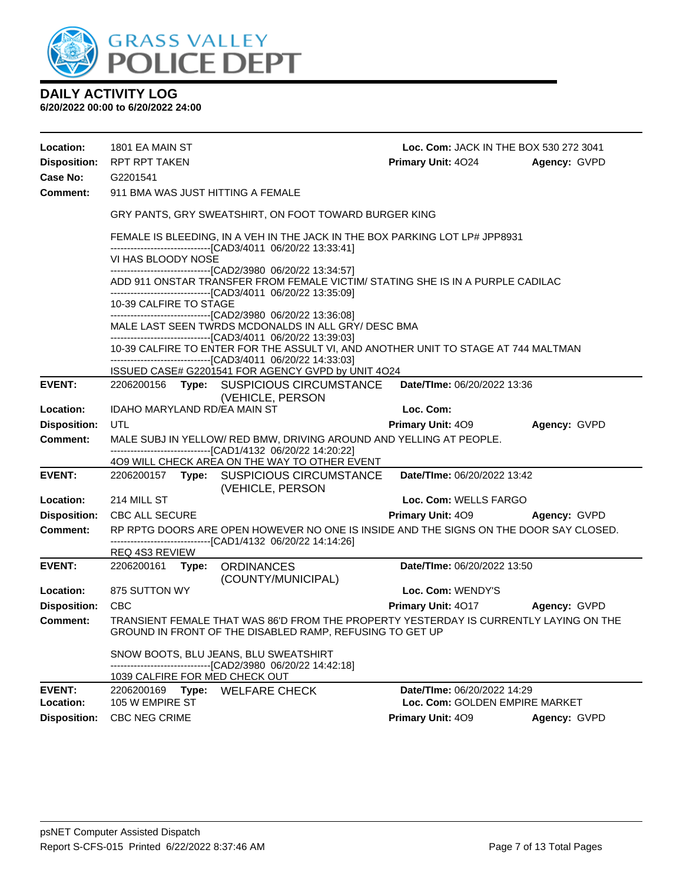

| Location:<br><b>Disposition:</b><br>Case No:<br><b>Comment:</b> | 1801 EA MAIN ST<br>RPT RPT TAKEN<br>G2201541                                                                                                                                        |  | 911 BMA WAS JUST HITTING A FEMALE                                                                                                                    | Loc. Com: JACK IN THE BOX 530 272 3041<br><b>Primary Unit: 4024</b> | Agency: GVPD |
|-----------------------------------------------------------------|-------------------------------------------------------------------------------------------------------------------------------------------------------------------------------------|--|------------------------------------------------------------------------------------------------------------------------------------------------------|---------------------------------------------------------------------|--------------|
|                                                                 |                                                                                                                                                                                     |  | GRY PANTS, GRY SWEATSHIRT, ON FOOT TOWARD BURGER KING                                                                                                |                                                                     |              |
|                                                                 |                                                                                                                                                                                     |  | FEMALE IS BLEEDING, IN A VEH IN THE JACK IN THE BOX PARKING LOT LP# JPP8931<br>-------------------------------[CAD3/4011_06/20/22 13:33:41]          |                                                                     |              |
|                                                                 | VI HAS BLOODY NOSE                                                                                                                                                                  |  | -------------------------------[CAD2/3980_06/20/22 13:34:57]                                                                                         |                                                                     |              |
|                                                                 |                                                                                                                                                                                     |  | ADD 911 ONSTAR TRANSFER FROM FEMALE VICTIM/ STATING SHE IS IN A PURPLE CADILAC<br>-------------------------------[CAD3/4011 06/20/22 13:35:09]       |                                                                     |              |
|                                                                 | 10-39 CALFIRE TO STAGE                                                                                                                                                              |  |                                                                                                                                                      |                                                                     |              |
|                                                                 | -------------------------------[CAD2/3980_06/20/22 13:36:08]<br>MALE LAST SEEN TWRDS MCDONALDS IN ALL GRY/ DESC BMA<br>-------------------------------[CAD3/4011_06/20/22 13:39:03] |  |                                                                                                                                                      |                                                                     |              |
|                                                                 |                                                                                                                                                                                     |  | 10-39 CALFIRE TO ENTER FOR THE ASSULT VI, AND ANOTHER UNIT TO STAGE AT 744 MALTMAN<br>-------------------------------[CAD3/4011 06/20/22 14:33:03]   |                                                                     |              |
|                                                                 |                                                                                                                                                                                     |  | ISSUED CASE# G2201541 FOR AGENCY GVPD by UNIT 4O24                                                                                                   |                                                                     |              |
| <b>EVENT:</b>                                                   |                                                                                                                                                                                     |  | 2206200156 Type: SUSPICIOUS CIRCUMSTANCE<br>(VEHICLE, PERSON                                                                                         | Date/TIme: 06/20/2022 13:36                                         |              |
| Location:                                                       | IDAHO MARYLAND RD/EA MAIN ST                                                                                                                                                        |  |                                                                                                                                                      | Loc. Com:                                                           |              |
| <b>Disposition:</b>                                             | UTL                                                                                                                                                                                 |  |                                                                                                                                                      | Primary Unit: 409                                                   | Agency: GVPD |
| Comment:                                                        |                                                                                                                                                                                     |  | MALE SUBJ IN YELLOW/ RED BMW, DRIVING AROUND AND YELLING AT PEOPLE.<br>-------------------------------[CAD1/4132 06/20/22 14:20:22]                  |                                                                     |              |
|                                                                 |                                                                                                                                                                                     |  | 409 WILL CHECK AREA ON THE WAY TO OTHER EVENT                                                                                                        |                                                                     |              |
| <b>EVENT:</b>                                                   |                                                                                                                                                                                     |  | 2206200157 Type: SUSPICIOUS CIRCUMSTANCE<br>(VEHICLE, PERSON                                                                                         | Date/TIme: 06/20/2022 13:42                                         |              |
| Location:                                                       | 214 MILL ST                                                                                                                                                                         |  |                                                                                                                                                      | Loc. Com: WELLS FARGO                                               |              |
| <b>Disposition:</b>                                             | <b>CBC ALL SECURE</b>                                                                                                                                                               |  |                                                                                                                                                      | <b>Primary Unit: 409</b>                                            | Agency: GVPD |
| <b>Comment:</b>                                                 |                                                                                                                                                                                     |  | RP RPTG DOORS ARE OPEN HOWEVER NO ONE IS INSIDE AND THE SIGNS ON THE DOOR SAY CLOSED.<br>------------------------------[CAD1/4132_06/20/22_14:14:26] |                                                                     |              |
|                                                                 | <b>REQ 4S3 REVIEW</b>                                                                                                                                                               |  |                                                                                                                                                      |                                                                     |              |
| <b>EVENT:</b>                                                   |                                                                                                                                                                                     |  | 2206200161 Type: ORDINANCES<br>(COUNTY/MUNICIPAL)                                                                                                    | Date/TIme: 06/20/2022 13:50                                         |              |
| Location:                                                       | 875 SUTTON WY                                                                                                                                                                       |  |                                                                                                                                                      | Loc. Com: WENDY'S                                                   |              |
| <b>Disposition:</b>                                             | <b>CBC</b>                                                                                                                                                                          |  |                                                                                                                                                      | <b>Primary Unit: 4017</b>                                           | Agency: GVPD |
| <b>Comment:</b>                                                 |                                                                                                                                                                                     |  | TRANSIENT FEMALE THAT WAS 86'D FROM THE PROPERTY YESTERDAY IS CURRENTLY LAYING ON THE<br>GROUND IN FRONT OF THE DISABLED RAMP, REFUSING TO GET UP    |                                                                     |              |
|                                                                 |                                                                                                                                                                                     |  | SNOW BOOTS, BLU JEANS, BLU SWEATSHIRT<br>------------------[CAD2/3980_06/20/22 14:42:18]                                                             |                                                                     |              |
|                                                                 |                                                                                                                                                                                     |  | 1039 CALFIRE FOR MED CHECK OUT                                                                                                                       |                                                                     |              |
| <b>EVENT:</b><br>Location:                                      | 2206200169<br>105 W EMPIRE ST                                                                                                                                                       |  | Type: WELFARE CHECK                                                                                                                                  | Date/TIme: 06/20/2022 14:29<br>Loc. Com: GOLDEN EMPIRE MARKET       |              |
| <b>Disposition:</b>                                             | CBC NEG CRIME                                                                                                                                                                       |  |                                                                                                                                                      | Primary Unit: 409                                                   | Agency: GVPD |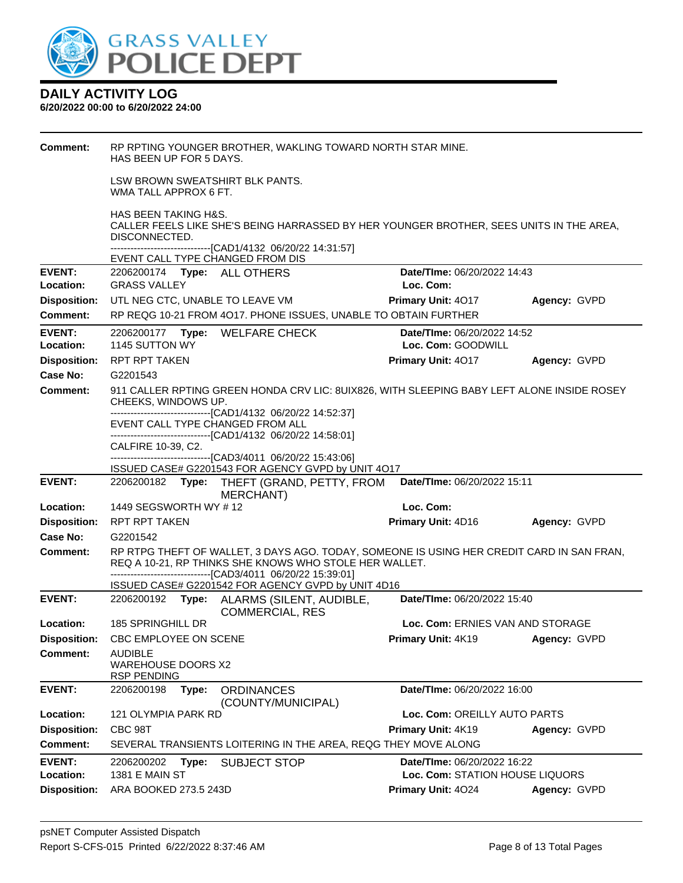

| Comment:            | RP RPTING YOUNGER BROTHER, WAKLING TOWARD NORTH STAR MINE.<br>HAS BEEN UP FOR 5 DAYS.                                                               |                                    |              |
|---------------------|-----------------------------------------------------------------------------------------------------------------------------------------------------|------------------------------------|--------------|
|                     | LSW BROWN SWEATSHIRT BLK PANTS.<br>WMA TALL APPROX 6 FT.                                                                                            |                                    |              |
|                     | <b>HAS BEEN TAKING H&amp;S.</b><br>CALLER FEELS LIKE SHE'S BEING HARRASSED BY HER YOUNGER BROTHER, SEES UNITS IN THE AREA,<br>DISCONNECTED.         |                                    |              |
|                     | --------------------------------[CAD1/4132 06/20/22 14:31:57]<br>EVENT CALL TYPE CHANGED FROM DIS                                                   |                                    |              |
| <b>EVENT:</b>       | 2206200174 Type: ALL OTHERS                                                                                                                         | Date/TIme: 06/20/2022 14:43        |              |
| Location:           | <b>GRASS VALLEY</b>                                                                                                                                 | Loc. Com:                          |              |
| <b>Disposition:</b> | UTL NEG CTC, UNABLE TO LEAVE VM                                                                                                                     | <b>Primary Unit: 4017</b>          | Agency: GVPD |
| <b>Comment:</b>     | RP REQG 10-21 FROM 4O17. PHONE ISSUES, UNABLE TO OBTAIN FURTHER                                                                                     |                                    |              |
| <b>EVENT:</b>       | 2206200177 Type: WELFARE CHECK                                                                                                                      | <b>Date/TIme: 06/20/2022 14:52</b> |              |
| Location:           | 1145 SUTTON WY                                                                                                                                      | Loc. Com: GOODWILL                 |              |
| <b>Disposition:</b> | <b>RPT RPT TAKEN</b>                                                                                                                                | <b>Primary Unit: 4017</b>          | Agency: GVPD |
| Case No:            | G2201543                                                                                                                                            |                                    |              |
| <b>Comment:</b>     | 911 CALLER RPTING GREEN HONDA CRV LIC: 8UIX826, WITH SLEEPING BABY LEFT ALONE INSIDE ROSEY<br>CHEEKS, WINDOWS UP.                                   |                                    |              |
|                     | -------------------------------[CAD1/4132 06/20/22 14:52:37]<br>EVENT CALL TYPE CHANGED FROM ALL                                                    |                                    |              |
|                     | -------------------------[CAD1/4132_06/20/22 14:58:01]                                                                                              |                                    |              |
|                     | CALFIRE 10-39, C2.<br>-------------------------------[CAD3/4011 06/20/22 15:43:06]                                                                  |                                    |              |
|                     | ISSUED CASE# G2201543 FOR AGENCY GVPD by UNIT 4O17                                                                                                  |                                    |              |
|                     |                                                                                                                                                     |                                    |              |
| <b>EVENT:</b>       | 2206200182 Type: THEFT (GRAND, PETTY, FROM<br>MERCHANT)                                                                                             | Date/TIme: 06/20/2022 15:11        |              |
| Location:           | 1449 SEGSWORTH WY # 12                                                                                                                              | Loc. Com:                          |              |
| <b>Disposition:</b> | RPT RPT TAKEN                                                                                                                                       | Primary Unit: 4D16                 | Agency: GVPD |
| Case No:            | G2201542                                                                                                                                            |                                    |              |
| <b>Comment:</b>     | RP RTPG THEFT OF WALLET, 3 DAYS AGO. TODAY, SOMEONE IS USING HER CREDIT CARD IN SAN FRAN,<br>REQ A 10-21, RP THINKS SHE KNOWS WHO STOLE HER WALLET. |                                    |              |
|                     | --------------------------------[CAD3/4011 06/20/22 15:39:01]<br>ISSUED CASE# G2201542 FOR AGENCY GVPD by UNIT 4D16                                 |                                    |              |
| <b>EVENT:</b>       | 2206200192 Type:<br>ALARMS (SILENT, AUDIBLE,<br><b>COMMERCIAL, RES</b>                                                                              | Date/TIme: 06/20/2022 15:40        |              |
| Location:           | 185 SPRINGHILL DR                                                                                                                                   | Loc. Com: ERNIES VAN AND STORAGE   |              |
| <b>Disposition:</b> | CBC EMPLOYEE ON SCENE                                                                                                                               | <b>Primary Unit: 4K19</b>          | Agency: GVPD |
| <b>Comment:</b>     | <b>AUDIBLE</b><br><b>WAREHOUSE DOORS X2</b><br><b>RSP PENDING</b>                                                                                   |                                    |              |
| <b>EVENT:</b>       | 2206200198<br><b>ORDINANCES</b><br>Type:<br>(COUNTY/MUNICIPAL)                                                                                      | Date/TIme: 06/20/2022 16:00        |              |
| Location:           | 121 OLYMPIA PARK RD                                                                                                                                 | Loc. Com: OREILLY AUTO PARTS       |              |
| <b>Disposition:</b> | CBC 98T                                                                                                                                             | Primary Unit: 4K19                 | Agency: GVPD |
| <b>Comment:</b>     | SEVERAL TRANSIENTS LOITERING IN THE AREA, REQG THEY MOVE ALONG                                                                                      |                                    |              |
| <b>EVENT:</b>       | 2206200202<br><b>SUBJECT STOP</b><br>Type:                                                                                                          | Date/TIme: 06/20/2022 16:22        |              |
| Location:           | 1381 E MAIN ST                                                                                                                                      | Loc. Com: STATION HOUSE LIQUORS    |              |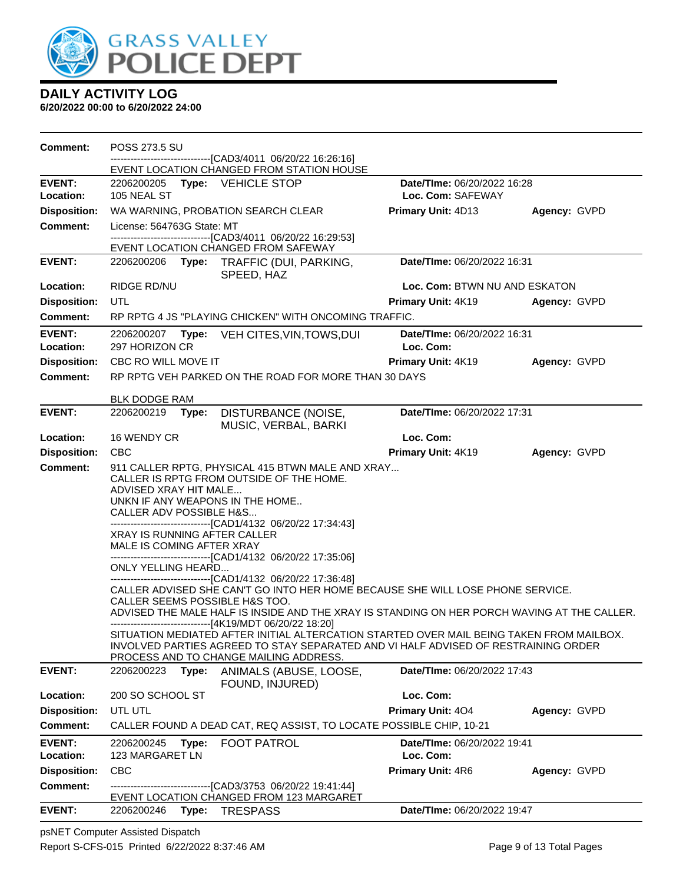

**6/20/2022 00:00 to 6/20/2022 24:00**

| <b>Comment:</b>                 | POSS 273.5 SU                                                                                                             |                                                                                             |                               |
|---------------------------------|---------------------------------------------------------------------------------------------------------------------------|---------------------------------------------------------------------------------------------|-------------------------------|
|                                 | -------------------------------[CAD3/4011_06/20/22 16:26:16]<br>EVENT LOCATION CHANGED FROM STATION HOUSE                 |                                                                                             |                               |
| <b>EVENT:</b>                   | 2206200205 Type: VEHICLE STOP                                                                                             | Date/TIme: 06/20/2022 16:28                                                                 |                               |
| Location:                       | 105 NEAL ST                                                                                                               | Loc. Com: SAFEWAY                                                                           |                               |
| <b>Disposition:</b>             | WA WARNING, PROBATION SEARCH CLEAR                                                                                        | Primary Unit: 4D13                                                                          | Agency: GVPD                  |
| <b>Comment:</b>                 | License: 564763G State: MT<br>-------------------------------[CAD3/4011 06/20/22 16:29:53]                                |                                                                                             |                               |
|                                 | EVENT LOCATION CHANGED FROM SAFEWAY                                                                                       |                                                                                             |                               |
| <b>EVENT:</b>                   | 2206200206 Type: TRAFFIC (DUI, PARKING,<br>SPEED, HAZ                                                                     | Date/TIme: 06/20/2022 16:31                                                                 |                               |
| Location:                       | RIDGE RD/NU                                                                                                               |                                                                                             | Loc. Com: BTWN NU AND ESKATON |
| <b>Disposition:</b>             | UTL                                                                                                                       | <b>Primary Unit: 4K19</b>                                                                   | Agency: GVPD                  |
| <b>Comment:</b>                 | RP RPTG 4 JS "PLAYING CHICKEN" WITH ONCOMING TRAFFIC.                                                                     |                                                                                             |                               |
| <b>EVENT:</b>                   | 2206200207 Type: VEH CITES, VIN, TOWS, DUI                                                                                | Date/TIme: 06/20/2022 16:31                                                                 |                               |
| <b>Location:</b>                | 297 HORIZON CR                                                                                                            | Loc. Com:                                                                                   |                               |
| <b>Disposition:</b>             | CBC RO WILL MOVE IT<br>RP RPTG VEH PARKED ON THE ROAD FOR MORE THAN 30 DAYS                                               | Primary Unit: 4K19                                                                          | Agency: GVPD                  |
| Comment:                        |                                                                                                                           |                                                                                             |                               |
|                                 | <b>BLK DODGE RAM</b>                                                                                                      |                                                                                             |                               |
| <b>EVENT:</b>                   | 2206200219 Type:                                                                                                          | Date/TIme: 06/20/2022 17:31<br>DISTURBANCE (NOISE,                                          |                               |
| Location:                       | 16 WENDY CR                                                                                                               | MUSIC, VERBAL, BARKI<br>Loc. Com:                                                           |                               |
| <b>Disposition:</b>             | <b>CBC</b>                                                                                                                | Primary Unit: 4K19                                                                          | Agency: GVPD                  |
| <b>Comment:</b>                 | 911 CALLER RPTG, PHYSICAL 415 BTWN MALE AND XRAY<br>CALLER IS RPTG FROM OUTSIDE OF THE HOME.<br>ADVISED XRAY HIT MALE     |                                                                                             |                               |
|                                 | UNKN IF ANY WEAPONS IN THE HOME<br>CALLER ADV POSSIBLE H&S<br>------------------------------[CAD1/4132 06/20/22 17:34:43] |                                                                                             |                               |
|                                 | <b>XRAY IS RUNNING AFTER CALLER</b><br>MALE IS COMING AFTER XRAY                                                          |                                                                                             |                               |
|                                 | -------------------------------[CAD1/4132 06/20/22 17:35:06]<br>ONLY YELLING HEARD                                        |                                                                                             |                               |
|                                 | -------------------------------[CAD1/4132 06/20/22 17:36:48]                                                              |                                                                                             |                               |
|                                 | CALLER SEEMS POSSIBLE H&S TOO.                                                                                            | CALLER ADVISED SHE CAN'T GO INTO HER HOME BECAUSE SHE WILL LOSE PHONE SERVICE.              |                               |
|                                 |                                                                                                                           | ADVISED THE MALE HALF IS INSIDE AND THE XRAY IS STANDING ON HER PORCH WAVING AT THE CALLER. |                               |
|                                 | -------------------------------[4K19/MDT 06/20/22 18:20]                                                                  | SITUATION MEDIATED AFTER INITIAL ALTERCATION STARTED OVER MAIL BEING TAKEN FROM MAILBOX.    |                               |
|                                 | PROCESS AND TO CHANGE MAILING ADDRESS.                                                                                    | INVOLVED PARTIES AGREED TO STAY SEPARATED AND VI HALF ADVISED OF RESTRAINING ORDER          |                               |
| <b>EVENT:</b>                   | 2206200223<br>Type: ANIMALS (ABUSE, LOOSE,<br>FOUND, INJURED)                                                             | Date/TIme: 06/20/2022 17:43                                                                 |                               |
| Location:                       | 200 SO SCHOOL ST                                                                                                          | Loc. Com:                                                                                   |                               |
| <b>Disposition:</b>             | UTL UTL                                                                                                                   | Primary Unit: 404                                                                           | Agency: GVPD                  |
| <b>Comment:</b>                 |                                                                                                                           | CALLER FOUND A DEAD CAT, REQ ASSIST, TO LOCATE POSSIBLE CHIP, 10-21                         |                               |
| <b>EVENT:</b>                   | 2206200245<br>Type: FOOT PATROL                                                                                           | Date/TIme: 06/20/2022 19:41                                                                 |                               |
| Location:                       | 123 MARGARET LN                                                                                                           | Loc. Com:                                                                                   |                               |
| <b>Disposition:</b><br>Comment: | <b>CBC</b><br>-------------------------------[CAD3/3753 06/20/22 19:41:44]                                                | Primary Unit: 4R6                                                                           | Agency: GVPD                  |
|                                 | EVENT LOCATION CHANGED FROM 123 MARGARET                                                                                  |                                                                                             |                               |
| <b>EVENT:</b>                   | 2206200246    Type: TRESPASS                                                                                              | Date/TIme: 06/20/2022 19:47                                                                 |                               |

psNET Computer Assisted Dispatch Report S-CFS-015 Printed 6/22/2022 8:37:46 AM Page 9 of 13 Total Pages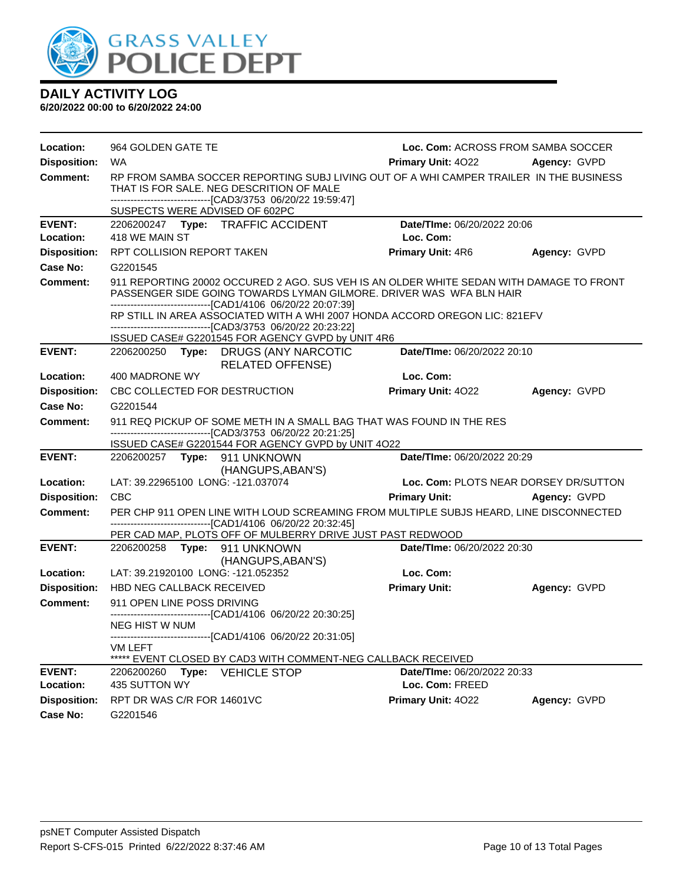

| Location:                  | Loc. Com: ACROSS FROM SAMBA SOCCER<br>964 GOLDEN GATE TE                                                                                                                                                                             |                                                |                                       |  |  |
|----------------------------|--------------------------------------------------------------------------------------------------------------------------------------------------------------------------------------------------------------------------------------|------------------------------------------------|---------------------------------------|--|--|
| <b>Disposition:</b>        | <b>WA</b>                                                                                                                                                                                                                            | <b>Primary Unit: 4022</b>                      | Agency: GVPD                          |  |  |
| Comment:                   | RP FROM SAMBA SOCCER REPORTING SUBJ LIVING OUT OF A WHI CAMPER TRAILER IN THE BUSINESS<br>THAT IS FOR SALE. NEG DESCRITION OF MALE<br>-------------------------------[CAD3/3753 06/20/22 19:59:47]<br>SUSPECTS WERE ADVISED OF 602PC |                                                |                                       |  |  |
| <b>EVENT:</b>              | 2206200247 Type: TRAFFIC ACCIDENT                                                                                                                                                                                                    | Date/TIme: 06/20/2022 20:06                    |                                       |  |  |
| Location:                  | 418 WE MAIN ST                                                                                                                                                                                                                       | Loc. Com:                                      |                                       |  |  |
| <b>Disposition:</b>        | RPT COLLISION REPORT TAKEN                                                                                                                                                                                                           | <b>Primary Unit: 4R6</b>                       | Agency: GVPD                          |  |  |
| Case No:                   | G2201545                                                                                                                                                                                                                             |                                                |                                       |  |  |
| Comment:                   | 911 REPORTING 20002 OCCURED 2 AGO. SUS VEH IS AN OLDER WHITE SEDAN WITH DAMAGE TO FRONT<br>PASSENGER SIDE GOING TOWARDS LYMAN GILMORE. DRIVER WAS WFA BLN HAIR                                                                       |                                                |                                       |  |  |
|                            | -------------------------------[CAD1/4106 06/20/22 20:07:39]<br>RP STILL IN AREA ASSOCIATED WITH A WHI 2007 HONDA ACCORD OREGON LIC: 821EFV<br>-------------------------------[CAD3/3753 06/20/22 20:23:22]                          |                                                |                                       |  |  |
| <b>EVENT:</b>              | ISSUED CASE# G2201545 FOR AGENCY GVPD by UNIT 4R6                                                                                                                                                                                    | Date/TIme: 06/20/2022 20:10                    |                                       |  |  |
|                            | 2206200250 Type: DRUGS (ANY NARCOTIC<br><b>RELATED OFFENSE)</b>                                                                                                                                                                      |                                                |                                       |  |  |
| Location:                  | 400 MADRONE WY                                                                                                                                                                                                                       | Loc. Com:                                      |                                       |  |  |
| <b>Disposition:</b>        | CBC COLLECTED FOR DESTRUCTION                                                                                                                                                                                                        | <b>Primary Unit: 4022</b>                      | Agency: GVPD                          |  |  |
| Case No:                   | G2201544                                                                                                                                                                                                                             |                                                |                                       |  |  |
| Comment:                   | 911 REQ PICKUP OF SOME METH IN A SMALL BAG THAT WAS FOUND IN THE RES<br>-------------------------------[CAD3/3753_06/20/22_20:21:25]                                                                                                 |                                                |                                       |  |  |
|                            | ISSUED CASE# G2201544 FOR AGENCY GVPD by UNIT 4O22                                                                                                                                                                                   |                                                |                                       |  |  |
| <b>EVENT:</b>              | 2206200257 Type: 911 UNKNOWN<br>(HANGUPS, ABAN'S)                                                                                                                                                                                    | Date/TIme: 06/20/2022 20:29                    |                                       |  |  |
| Location:                  | LAT: 39.22965100 LONG: -121.037074                                                                                                                                                                                                   |                                                | Loc. Com: PLOTS NEAR DORSEY DR/SUTTON |  |  |
| <b>Disposition:</b>        | <b>CBC</b>                                                                                                                                                                                                                           | Primary Unit: Agency: GVPD                     |                                       |  |  |
| <b>Comment:</b>            | PER CHP 911 OPEN LINE WITH LOUD SCREAMING FROM MULTIPLE SUBJS HEARD, LINE DISCONNECTED<br>-------------------------------[CAD1/4106 06/20/22 20:32:45]                                                                               |                                                |                                       |  |  |
| <b>EVENT:</b>              | PER CAD MAP, PLOTS OFF OF MULBERRY DRIVE JUST PAST REDWOOD                                                                                                                                                                           | Date/TIme: 06/20/2022 20:30                    |                                       |  |  |
|                            | 2206200258 Type: 911 UNKNOWN<br>(HANGUPS, ABAN'S)                                                                                                                                                                                    |                                                |                                       |  |  |
| Location:                  | LAT: 39.21920100 LONG: -121.052352                                                                                                                                                                                                   | Loc. Com:                                      |                                       |  |  |
| <b>Disposition:</b>        | HBD NEG CALLBACK RECEIVED                                                                                                                                                                                                            | <b>Primary Unit:</b>                           | Agency: GVPD                          |  |  |
| <b>Comment:</b>            | 911 OPEN LINE POSS DRIVING                                                                                                                                                                                                           |                                                |                                       |  |  |
|                            | ------------------------------[CAD1/4106 06/20/22 20:30:25]                                                                                                                                                                          |                                                |                                       |  |  |
|                            | <b>NEG HIST W NUM</b><br>-------------[CAD1/4106 06/20/22 20:31:05]                                                                                                                                                                  |                                                |                                       |  |  |
|                            | VM LEFT                                                                                                                                                                                                                              |                                                |                                       |  |  |
|                            | ***** EVENT CLOSED BY CAD3 WITH COMMENT-NEG CALLBACK RECEIVED                                                                                                                                                                        |                                                |                                       |  |  |
| <b>EVENT:</b><br>Location: | 2206200260<br>Type:<br><b>VEHICLE STOP</b><br>435 SUTTON WY                                                                                                                                                                          | Date/TIme: 06/20/2022 20:33<br>Loc. Com: FREED |                                       |  |  |
| <b>Disposition:</b>        | RPT DR WAS C/R FOR 14601VC                                                                                                                                                                                                           | Primary Unit: 4022                             | Agency: GVPD                          |  |  |
| Case No:                   | G2201546                                                                                                                                                                                                                             |                                                |                                       |  |  |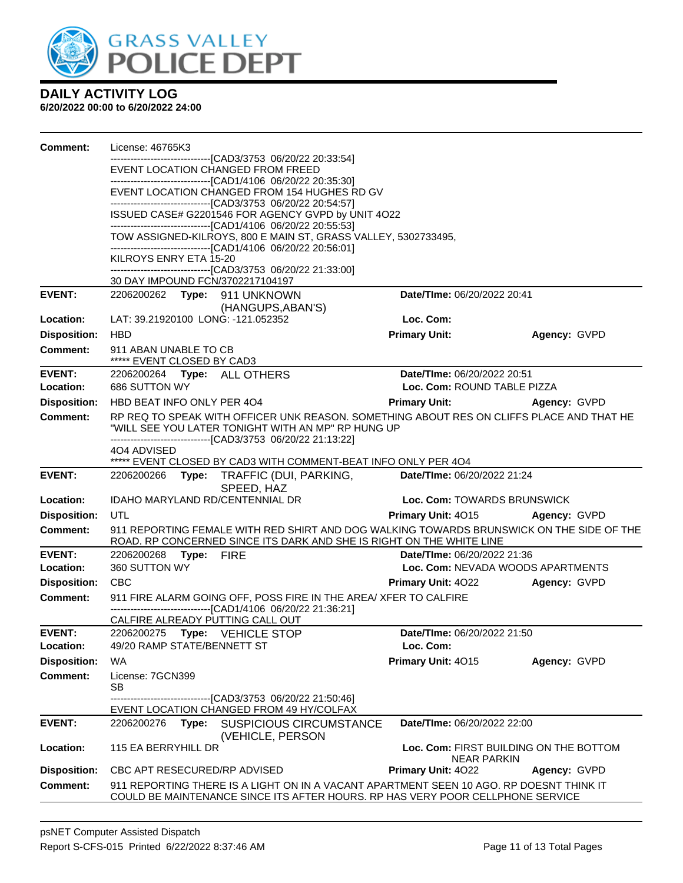

| <b>Comment:</b>     | License: 46765K3                                                                                                                                                                                                |                                        |              |
|---------------------|-----------------------------------------------------------------------------------------------------------------------------------------------------------------------------------------------------------------|----------------------------------------|--------------|
|                     | --------------------[CAD3/3753_06/20/22_20:33:54]                                                                                                                                                               |                                        |              |
|                     | EVENT LOCATION CHANGED FROM FREED<br>-------------------------------[CAD1/4106 06/20/22 20:35:30]                                                                                                               |                                        |              |
|                     | EVENT LOCATION CHANGED FROM 154 HUGHES RD GV<br>-------------------------------[CAD3/3753 06/20/22 20:54:57]                                                                                                    |                                        |              |
|                     | ISSUED CASE# G2201546 FOR AGENCY GVPD by UNIT 4O22                                                                                                                                                              |                                        |              |
|                     | -------------------------------[CAD1/4106 06/20/22 20:55:53]<br>TOW ASSIGNED-KILROYS, 800 E MAIN ST, GRASS VALLEY, 5302733495,                                                                                  |                                        |              |
|                     | -------------------------------[CAD1/4106 06/20/22 20:56:01]                                                                                                                                                    |                                        |              |
|                     | KILROYS ENRY ETA 15-20<br>--------------------------------[CAD3/3753 06/20/22 21:33:00]                                                                                                                         |                                        |              |
|                     | 30 DAY IMPOUND FCN/3702217104197                                                                                                                                                                                |                                        |              |
| <b>EVENT:</b>       | 2206200262 Type: 911 UNKNOWN                                                                                                                                                                                    | Date/TIme: 06/20/2022 20:41            |              |
| Location:           | (HANGUPS, ABAN'S)<br>LAT: 39.21920100 LONG: -121.052352                                                                                                                                                         | Loc. Com:                              |              |
| <b>Disposition:</b> | <b>HBD</b>                                                                                                                                                                                                      | <b>Primary Unit:</b>                   | Agency: GVPD |
| <b>Comment:</b>     | 911 ABAN UNABLE TO CB                                                                                                                                                                                           |                                        |              |
|                     | ***** EVENT CLOSED BY CAD3                                                                                                                                                                                      |                                        |              |
| <b>EVENT:</b>       | 2206200264 Type: ALL OTHERS                                                                                                                                                                                     | Date/TIme: 06/20/2022 20:51            |              |
| Location:           | 686 SUTTON WY                                                                                                                                                                                                   | Loc. Com: ROUND TABLE PIZZA            |              |
| <b>Disposition:</b> | HBD BEAT INFO ONLY PER 404                                                                                                                                                                                      | <b>Primary Unit:</b>                   | Agency: GVPD |
| <b>Comment:</b>     | RP REQ TO SPEAK WITH OFFICER UNK REASON. SOMETHING ABOUT RES ON CLIFFS PLACE AND THAT HE<br>"WILL SEE YOU LATER TONIGHT WITH AN MP" RP HUNG UP<br>--------------------------------[CAD3/3753 06/20/22 21:13:22] |                                        |              |
|                     | 404 ADVISED                                                                                                                                                                                                     |                                        |              |
|                     | ***** EVENT CLOSED BY CAD3 WITH COMMENT-BEAT INFO ONLY PER 4O4                                                                                                                                                  |                                        |              |
| <b>EVENT:</b>       | 2206200266 Type: TRAFFIC (DUI, PARKING,<br>SPEED, HAZ                                                                                                                                                           | Date/TIme: 06/20/2022 21:24            |              |
| Location:           | IDAHO MARYLAND RD/CENTENNIAL DR                                                                                                                                                                                 | Loc. Com: TOWARDS BRUNSWICK            |              |
| <b>Disposition:</b> | UTL                                                                                                                                                                                                             | <b>Primary Unit: 4015</b>              | Agency: GVPD |
| <b>Comment:</b>     | 911 REPORTING FEMALE WITH RED SHIRT AND DOG WALKING TOWARDS BRUNSWICK ON THE SIDE OF THE<br>ROAD. RP CONCERNED SINCE ITS DARK AND SHE IS RIGHT ON THE WHITE LINE                                                |                                        |              |
| <b>EVENT:</b>       | 2206200268 Type: FIRE                                                                                                                                                                                           | <b>Date/Time: 06/20/2022 21:36</b>     |              |
| Location:           | 360 SUTTON WY                                                                                                                                                                                                   | Loc. Com: NEVADA WOODS APARTMENTS      |              |
| <b>Disposition:</b> | <b>CBC</b>                                                                                                                                                                                                      | <b>Primary Unit: 4022</b>              | Agency: GVPD |
| <b>Comment:</b>     | 911 FIRE ALARM GOING OFF, POSS FIRE IN THE AREA/ XFER TO CALFIRE<br>---------------------------[CAD1/4106 06/20/22 21:36:21]                                                                                    |                                        |              |
|                     | CALFIRE ALREADY PUTTING CALL OUT                                                                                                                                                                                |                                        |              |
| <b>EVENT:</b>       | 2206200275 Type: VEHICLE STOP                                                                                                                                                                                   | Date/TIme: 06/20/2022 21:50            |              |
| Location:           | 49/20 RAMP STATE/BENNETT ST                                                                                                                                                                                     | Loc. Com:                              |              |
| <b>Disposition:</b> | <b>WA</b>                                                                                                                                                                                                       | Primary Unit: 4015                     | Agency: GVPD |
| <b>Comment:</b>     | License: 7GCN399<br><b>SB</b>                                                                                                                                                                                   |                                        |              |
|                     | --[CAD3/3753 06/20/22 21:50:46]<br>EVENT LOCATION CHANGED FROM 49 HY/COLFAX                                                                                                                                     |                                        |              |
| <b>EVENT:</b>       | 2206200276<br>Type:<br><b>SUSPICIOUS CIRCUMSTANCE</b>                                                                                                                                                           | Date/TIme: 06/20/2022 22:00            |              |
| Location:           | (VEHICLE, PERSON<br>115 EA BERRYHILL DR                                                                                                                                                                         | Loc. Com: FIRST BUILDING ON THE BOTTOM |              |
|                     |                                                                                                                                                                                                                 | <b>NEAR PARKIN</b>                     |              |
| <b>Disposition:</b> | CBC APT RESECURED/RP ADVISED                                                                                                                                                                                    | Primary Unit: 4022                     | Agency: GVPD |
| <b>Comment:</b>     | 911 REPORTING THERE IS A LIGHT ON IN A VACANT APARTMENT SEEN 10 AGO. RP DOESNT THINK IT<br>COULD BE MAINTENANCE SINCE ITS AFTER HOURS. RP HAS VERY POOR CELLPHONE SERVICE                                       |                                        |              |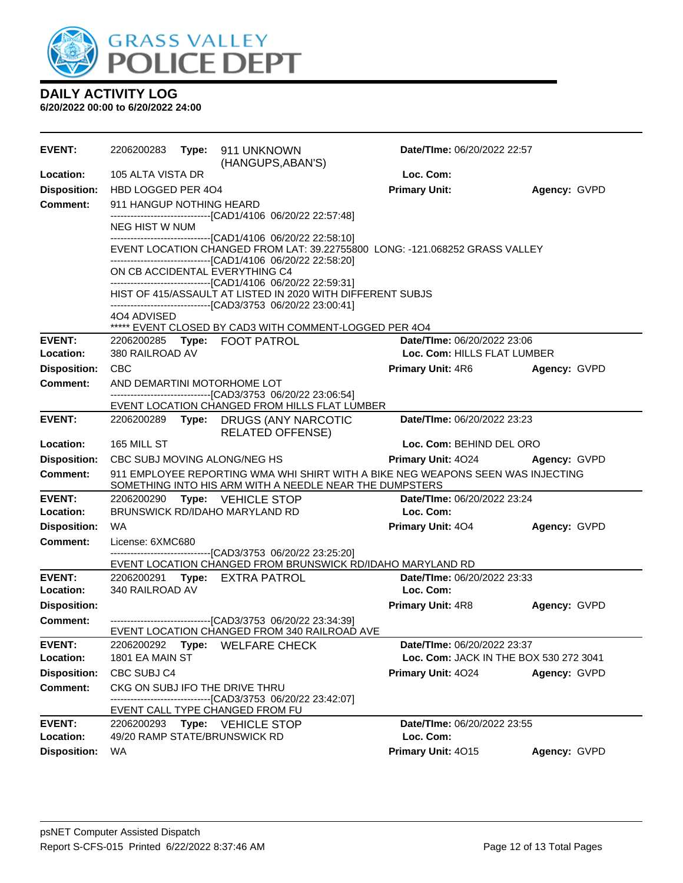

| <b>EVENT:</b>       | 2206200283                      | Type: 911 UNKNOWN<br>(HANGUPS, ABAN'S)                                                                                                       | Date/TIme: 06/20/2022 22:57            |              |
|---------------------|---------------------------------|----------------------------------------------------------------------------------------------------------------------------------------------|----------------------------------------|--------------|
| Location:           | 105 ALTA VISTA DR               |                                                                                                                                              | Loc. Com:                              |              |
| <b>Disposition:</b> | HBD LOGGED PER 404              |                                                                                                                                              | <b>Primary Unit:</b>                   | Agency: GVPD |
| <b>Comment:</b>     | 911 HANGUP NOTHING HEARD        |                                                                                                                                              |                                        |              |
|                     | <b>NEG HIST W NUM</b>           | -------------------------[CAD1/4106 06/20/22 22:57:48]                                                                                       |                                        |              |
|                     |                                 | -------------------------------[CAD1/4106 06/20/22 22:58:10]                                                                                 |                                        |              |
|                     |                                 | EVENT LOCATION CHANGED FROM LAT: 39.22755800 LONG: - 121.068252 GRASS VALLEY<br>-------------------------------[CAD1/4106 06/20/22 22:58:20] |                                        |              |
|                     | ON CB ACCIDENTAL EVERYTHING C4  |                                                                                                                                              |                                        |              |
|                     |                                 | -------------------------------[CAD1/4106 06/20/22 22:59:31]<br>HIST OF 415/ASSAULT AT LISTED IN 2020 WITH DIFFERENT SUBJS                   |                                        |              |
|                     |                                 | -------------------------------[CAD3/3753 06/20/22 23:00:41]                                                                                 |                                        |              |
|                     | 4O4 ADVISED                     | ***** EVENT CLOSED BY CAD3 WITH COMMENT-LOGGED PER 404                                                                                       |                                        |              |
| <b>EVENT:</b>       | 2206200285 Type: FOOT PATROL    |                                                                                                                                              | Date/TIme: 06/20/2022 23:06            |              |
| Location:           | 380 RAILROAD AV                 |                                                                                                                                              | Loc. Com: HILLS FLAT LUMBER            |              |
| <b>Disposition:</b> | <b>CBC</b>                      |                                                                                                                                              | <b>Primary Unit: 4R6</b>               | Agency: GVPD |
| <b>Comment:</b>     | AND DEMARTINI MOTORHOME LOT     | -------------------------------[CAD3/3753 06/20/22 23:06:54]                                                                                 |                                        |              |
|                     |                                 | EVENT LOCATION CHANGED FROM HILLS FLAT LUMBER                                                                                                |                                        |              |
| <b>EVENT:</b>       |                                 | 2206200289 Type: DRUGS (ANY NARCOTIC<br><b>RELATED OFFENSE)</b>                                                                              | Date/TIme: 06/20/2022 23:23            |              |
| <b>Location:</b>    | 165 MILL ST                     |                                                                                                                                              | Loc. Com: BEHIND DEL ORO               |              |
| <b>Disposition:</b> | CBC SUBJ MOVING ALONG/NEG HS    |                                                                                                                                              | <b>Primary Unit: 4024</b>              | Agency: GVPD |
| <b>Comment:</b>     |                                 | 911 EMPLOYEE REPORTING WMA WHI SHIRT WITH A BIKE NEG WEAPONS SEEN WAS INJECTING<br>SOMETHING INTO HIS ARM WITH A NEEDLE NEAR THE DUMPSTERS   |                                        |              |
| <b>EVENT:</b>       | 2206200290                      | <b>Type:</b> VEHICLE STOP                                                                                                                    | Date/TIme: 06/20/2022 23:24            |              |
| Location:           | BRUNSWICK RD/IDAHO MARYLAND RD  |                                                                                                                                              | Loc. Com:                              |              |
| <b>Disposition:</b> | <b>WA</b>                       |                                                                                                                                              | <b>Primary Unit: 404</b>               | Agency: GVPD |
| <b>Comment:</b>     | License: 6XMC680                | -------------------------------[CAD3/3753 06/20/22 23:25:20]                                                                                 |                                        |              |
|                     |                                 | EVENT LOCATION CHANGED FROM BRUNSWICK RD/IDAHO MARYLAND RD                                                                                   |                                        |              |
| <b>EVENT:</b>       | 2206200291 Type: EXTRA PATROL   |                                                                                                                                              | Date/TIme: 06/20/2022 23:33            |              |
| Location:           | 340 RAILROAD AV                 |                                                                                                                                              | Loc. Com:                              |              |
| <b>Disposition:</b> |                                 |                                                                                                                                              | <b>Primary Unit: 4R8</b>               | Agency: GVPD |
| <b>Comment:</b>     |                                 | --------------------------------[CAD3/3753 06/20/22 23:34:39]<br>EVENT LOCATION CHANGED FROM 340 RAILROAD AVE                                |                                        |              |
| <b>EVENT:</b>       | 2206200292                      | Type: WELFARE CHECK                                                                                                                          | Date/TIme: 06/20/2022 23:37            |              |
| Location:           | 1801 EA MAIN ST                 |                                                                                                                                              | Loc. Com: JACK IN THE BOX 530 272 3041 |              |
| <b>Disposition:</b> | CBC SUBJ C4                     |                                                                                                                                              | Primary Unit: 4024                     | Agency: GVPD |
| <b>Comment:</b>     | CKG ON SUBJ IFO THE DRIVE THRU  | ------------------------------[CAD3/3753 06/20/22 23:42:07]                                                                                  |                                        |              |
|                     | EVENT CALL TYPE CHANGED FROM FU |                                                                                                                                              |                                        |              |
| <b>EVENT:</b>       | 2206200293 Type: VEHICLE STOP   |                                                                                                                                              | Date/TIme: 06/20/2022 23:55            |              |
| <b>Location:</b>    | 49/20 RAMP STATE/BRUNSWICK RD   |                                                                                                                                              | Loc. Com:                              |              |
| <b>Disposition:</b> | <b>WA</b>                       |                                                                                                                                              | Primary Unit: 4015                     | Agency: GVPD |